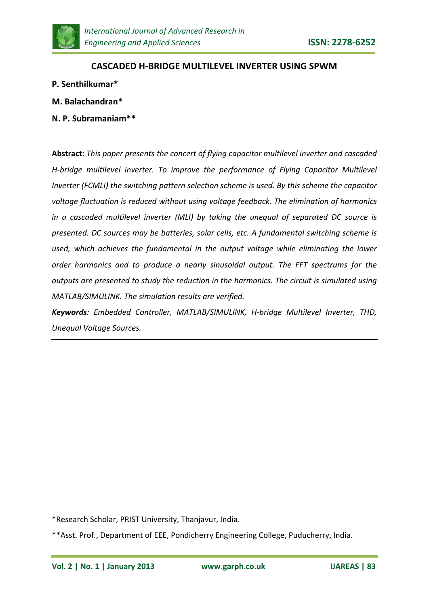

### **CASCADED H-BRIDGE MULTILEVEL INVERTER USING SPWM**

- **P. Senthilkumar\***
- **M. Balachandran\***
- **N. P. Subramaniam\*\***

**Abstract:** *This paper presents the concert of flying capacitor multilevel inverter and cascaded H-bridge multilevel inverter. To improve the performance of Flying Capacitor Multilevel Inverter (FCMLI) the switching pattern selection scheme is used. By this scheme the capacitor voltage fluctuation is reduced without using voltage feedback. The elimination of harmonics in a cascaded multilevel inverter (MLI) by taking the unequal of separated DC source is presented. DC sources may be batteries, solar cells, etc. A fundamental switching scheme is used, which achieves the fundamental in the output voltage while eliminating the lower order harmonics and to produce a nearly sinusoidal output. The FFT spectrums for the outputs are presented to study the reduction in the harmonics. The circuit is simulated using MATLAB/SIMULINK. The simulation results are verified.*

*Keywords: Embedded Controller, MATLAB/SIMULINK, H-bridge Multilevel Inverter, THD, Unequal Voltage Sources.*

\*Research Scholar, PRIST University, Thanjavur, India.

<sup>\*\*</sup>Asst. Prof., Department of EEE, Pondicherry Engineering College, Puducherry, India.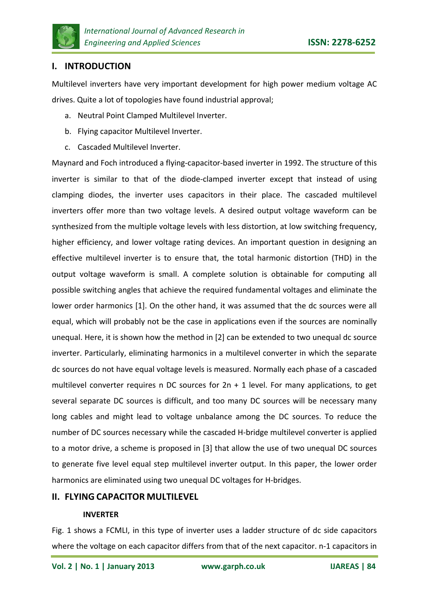

## **I. INTRODUCTION**

Multilevel inverters have very important development for high power medium voltage AC drives. Quite a lot of topologies have found industrial approval;

- a. Neutral Point Clamped Multilevel Inverter.
- b. Flying capacitor Multilevel Inverter.
- c. Cascaded Multilevel Inverter.

Maynard and Foch introduced a flying-capacitor-based inverter in 1992. The structure of this inverter is similar to that of the diode-clamped inverter except that instead of using clamping diodes, the inverter uses capacitors in their place. The cascaded multilevel inverters offer more than two voltage levels. A desired output voltage waveform can be synthesized from the multiple voltage levels with less distortion, at low switching frequency, higher efficiency, and lower voltage rating devices. An important question in designing an effective multilevel inverter is to ensure that, the total harmonic distortion (THD) in the output voltage waveform is small. A complete solution is obtainable for computing all possible switching angles that achieve the required fundamental voltages and eliminate the lower order harmonics [1]. On the other hand, it was assumed that the dc sources were all equal, which will probably not be the case in applications even if the sources are nominally unequal. Here, it is shown how the method in [2] can be extended to two unequal dc source inverter. Particularly, eliminating harmonics in a multilevel converter in which the separate dc sources do not have equal voltage levels is measured. Normally each phase of a cascaded multilevel converter requires n DC sources for  $2n + 1$  level. For many applications, to get several separate DC sources is difficult, and too many DC sources will be necessary many long cables and might lead to voltage unbalance among the DC sources. To reduce the number of DC sources necessary while the cascaded H-bridge multilevel converter is applied to a motor drive, a scheme is proposed in [3] that allow the use of two unequal DC sources to generate five level equal step multilevel inverter output. In this paper, the lower order harmonics are eliminated using two unequal DC voltages for H-bridges.

## **II. FLYING CAPACITOR MULTILEVEL**

#### **INVERTER**

Fig. 1 shows a FCMLI, in this type of inverter uses a ladder structure of dc side capacitors where the voltage on each capacitor differs from that of the next capacitor. n-1 capacitors in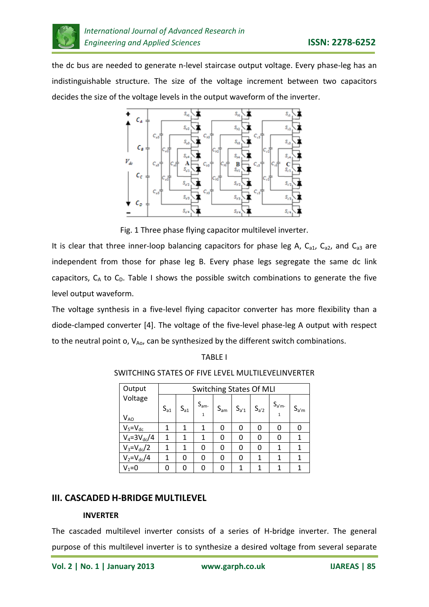

the dc bus are needed to generate n-level staircase output voltage. Every phase-leg has an indistinguishable structure. The size of the voltage increment between two capacitors decides the size of the voltage levels in the output waveform of the inverter.



Fig. 1 Three phase flying capacitor multilevel inverter.

It is clear that three inner-loop balancing capacitors for phase leg A,  $C_{a1}$ ,  $C_{a2}$ , and  $C_{a3}$  are independent from those for phase leg B. Every phase legs segregate the same dc link capacitors,  $C_A$  to  $C_D$ . Table I shows the possible switch combinations to generate the five level output waveform.

The voltage synthesis in a five-level flying capacitor converter has more flexibility than a diode-clamped converter [4]. The voltage of the five-level phase-leg A output with respect to the neutral point o,  $V_{A_0}$ , can be synthesized by the different switch combinations.

#### SWITCHING STATES OF FIVE LEVEL MULTILEVELINVERTER

| Output              | <b>Switching States Of MLI</b> |          |                          |          |           |           |           |           |
|---------------------|--------------------------------|----------|--------------------------|----------|-----------|-----------|-----------|-----------|
| Voltage<br>$V_{AO}$ | $S_{a1}$                       | $S_{a1}$ | $S_{am}$<br>$\mathbf{1}$ | $S_{am}$ | $S_{a'1}$ | $S_{a'2}$ | $S_{a'm}$ | $S_{a'm}$ |
| $V_5 = V_{dc}$      | 1                              | 1        | 1                        | 0        | 0         | O         | 0         | 0         |
| $V_4 = 3V_{dc}/4$   | 1                              | 1        | 1                        | 0        | ი         | 0         | 0         | 1         |
| $V_3 = V_{dc} / 2$  | 1                              | 1        | 0                        | 0        | O         | 0         | 1         | 1         |
| $V_2 = V_{dc}/4$    | 1                              | 0        | 0                        | 0        | O         | 1         | 1         | 1         |
| $V_1 = 0$           | ი                              | O        | U                        | 0        |           | 1         | 1         | 1         |

## **III. CASCADED H-BRIDGE MULTILEVEL**

#### **INVERTER**

The cascaded multilevel inverter consists of a series of H-bridge inverter. The general purpose of this multilevel inverter is to synthesize a desired voltage from several separate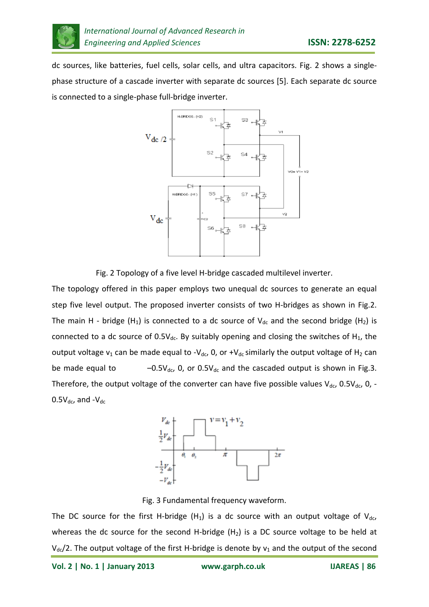

dc sources, like batteries, fuel cells, solar cells, and ultra capacitors. Fig. 2 shows a singlephase structure of a cascade inverter with separate dc sources [5]. Each separate dc source is connected to a single-phase full-bridge inverter.



Fig. 2 Topology of a five level H-bridge cascaded multilevel inverter.

The topology offered in this paper employs two unequal dc sources to generate an equal step five level output. The proposed inverter consists of two H-bridges as shown in Fig.2. The main H - bridge (H<sub>1</sub>) is connected to a dc source of V<sub>dc</sub> and the second bridge (H<sub>2</sub>) is connected to a dc source of  $0.5V_{dc}$ . By suitably opening and closing the switches of H<sub>1</sub>, the output voltage  $v_1$  can be made equal to -V<sub>dc</sub>, 0, or +V<sub>dc</sub> similarly the output voltage of H<sub>2</sub> can be made equal to  $-0.5V_{dc}$ , 0, or 0.5V<sub>dc</sub> and the cascaded output is shown in Fig.3. Therefore, the output voltage of the converter can have five possible values  $V_{dc}$ , 0.5 $V_{dc}$ , 0, - $0.5V_{dc}$ , and - $V_{dc}$ 



Fig. 3 Fundamental frequency waveform.

The DC source for the first H-bridge  $(H_1)$  is a dc source with an output voltage of  $V_{dc}$ , whereas the dc source for the second H-bridge  $(H<sub>2</sub>)$  is a DC source voltage to be held at  $V_{dc}/2$ . The output voltage of the first H-bridge is denote by  $v_1$  and the output of the second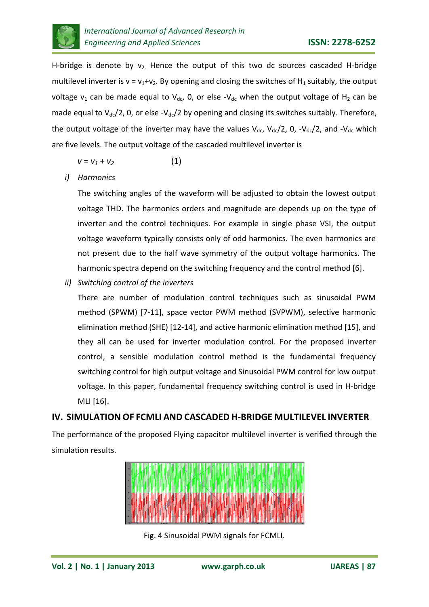

H-bridge is denote by  $v_2$ . Hence the output of this two dc sources cascaded H-bridge multilevel inverter is  $v = v_1 + v_2$ . By opening and closing the switches of H<sub>1</sub> suitably, the output voltage  $v_1$  can be made equal to  $V_{dc}$ , 0, or else - $V_{dc}$  when the output voltage of H<sub>2</sub> can be made equal to  $V_{dc}/2$ , 0, or else - $V_{dc}/2$  by opening and closing its switches suitably. Therefore, the output voltage of the inverter may have the values  $V_{dc}$ ,  $V_{dc}/2$ , 0,  $-V_{dc}/2$ , and  $-V_{dc}$  which are five levels. The output voltage of the cascaded multilevel inverter is

$$
v = v_1 + v_2 \tag{1}
$$

*i) Harmonics*

The switching angles of the waveform will be adjusted to obtain the lowest output voltage THD. The harmonics orders and magnitude are depends up on the type of inverter and the control techniques. For example in single phase VSI, the output voltage waveform typically consists only of odd harmonics. The even harmonics are not present due to the half wave symmetry of the output voltage harmonics. The harmonic spectra depend on the switching frequency and the control method [6].

*ii) Switching control of the inverters*

There are number of modulation control techniques such as sinusoidal PWM method (SPWM) [7-11], space vector PWM method (SVPWM), selective harmonic elimination method (SHE) [12-14], and active harmonic elimination method [15], and they all can be used for inverter modulation control. For the proposed inverter control, a sensible modulation control method is the fundamental frequency switching control for high output voltage and Sinusoidal PWM control for low output voltage. In this paper, fundamental frequency switching control is used in H-bridge MLI [16].

# **IV. SIMULATION OF FCMLI AND CASCADED H-BRIDGE MULTILEVEL INVERTER**

The performance of the proposed Flying capacitor multilevel inverter is verified through the simulation results.



Fig. 4 Sinusoidal PWM signals for FCMLI.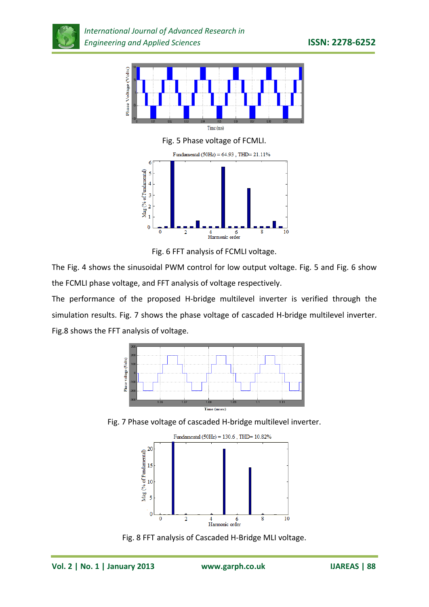

Fig. 5 Phase voltage of FCMLI.



Fig. 6 FFT analysis of FCMLI voltage.

The Fig. 4 shows the sinusoidal PWM control for low output voltage. Fig. 5 and Fig. 6 show the FCMLI phase voltage, and FFT analysis of voltage respectively.

The performance of the proposed H-bridge multilevel inverter is verified through the simulation results. Fig. 7 shows the phase voltage of cascaded H-bridge multilevel inverter. Fig.8 shows the FFT analysis of voltage.



Fig. 7 Phase voltage of cascaded H-bridge multilevel inverter.



Fig. 8 FFT analysis of Cascaded H-Bridge MLI voltage.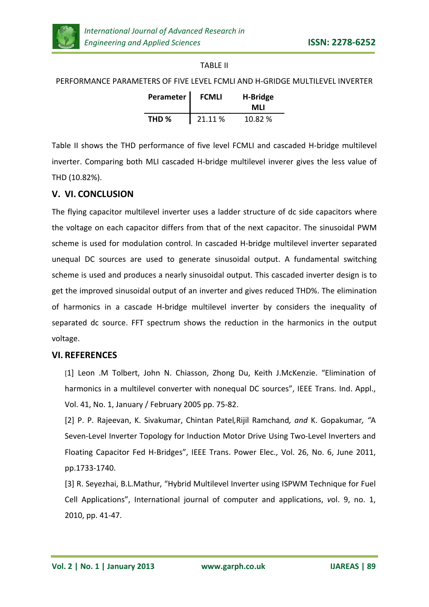

### TABLE II

PERFORMANCE PARAMETERS OF FIVE LEVEL FCMLI AND H-GRIDGE MULTILEVEL INVERTER

| Perameter        | <b>FCMLI</b> | H-Bridge<br>MLI |
|------------------|--------------|-----------------|
| THD <sub>%</sub> | 21.11 %      | 10.82 %         |

Table II shows the THD performance of five level FCMLI and cascaded H-bridge multilevel inverter. Comparing both MLI cascaded H-bridge multilevel inverer gives the less value of THD (10.82%).

## **V. VI. CONCLUSION**

The flying capacitor multilevel inverter uses a ladder structure of dc side capacitors where the voltage on each capacitor differs from that of the next capacitor. The sinusoidal PWM scheme is used for modulation control. In cascaded H-bridge multilevel inverter separated unequal DC sources are used to generate sinusoidal output. A fundamental switching scheme is used and produces a nearly sinusoidal output. This cascaded inverter design is to get the improved sinusoidal output of an inverter and gives reduced THD%. The elimination of harmonics in a cascade H-bridge multilevel inverter by considers the inequality of separated dc source. FFT spectrum shows the reduction in the harmonics in the output voltage.

## **VI. REFERENCES**

[1] Leon .M Tolbert, John N. Chiasson, Zhong Du, Keith J.McKenzie. "Elimination of harmonics in a multilevel converter with nonequal DC sources", IEEE Trans. Ind. Appl., Vol. 41, No. 1, January / February 2005 pp. 75-82.

[2] P. P. Rajeevan, K. Sivakumar, Chintan Patel*,*Rijil Ramchand*, and* K. Gopakumar*, "*A Seven-Level Inverter Topology for Induction Motor Drive Using Two-Level Inverters and Floating Capacitor Fed H-Bridges", IEEE Trans. Power Elec., Vol. 26, No. 6, June 2011, pp.1733-1740.

[3] R. Seyezhai, B.L.Mathur, "Hybrid Multilevel Inverter using ISPWM Technique for Fuel Cell Applications", International journal of computer and applications, *v*ol. 9, no. 1, 2010, pp. 41-47.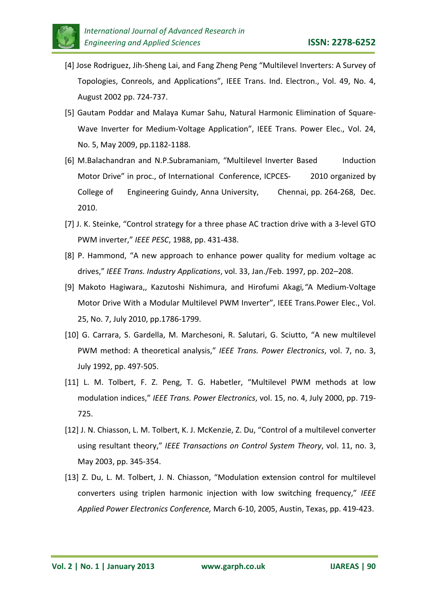

- [4] Jose Rodriguez, Jih-Sheng Lai, and Fang Zheng Peng "Multilevel Inverters: A Survey of Topologies, Conreols, and Applications", IEEE Trans. Ind. Electron., Vol. 49, No. 4, August 2002 pp. 724-737.
- [5] Gautam Poddar and Malaya Kumar Sahu, Natural Harmonic Elimination of Square-Wave Inverter for Medium-Voltage Application", IEEE Trans. Power Elec., Vol. 24, No. 5, May 2009, pp.1182-1188.
- [6] M.Balachandran and N.P.Subramaniam, "Multilevel Inverter Based Induction Motor Drive" in proc., of International Conference, ICPCES- 2010 organized by College of Engineering Guindy, Anna University, Chennai, pp. 264-268,Dec. 2010.
- [7] J. K. Steinke, "Control strategy for a three phase AC traction drive with a 3-level GTO PWM inverter," *IEEE PESC*, 1988, pp. 431-438.
- [8] P. Hammond, "A new approach to enhance power quality for medium voltage ac drives," *IEEE Trans. Industry Applications*, vol. 33, Jan./Feb. 1997, pp. 202–208.
- [9] Makoto Hagiwara,, Kazutoshi Nishimura, and Hirofumi Akagi*,"*A Medium-Voltage Motor Drive With a Modular Multilevel PWM Inverter", IEEE Trans.Power Elec., Vol. 25, No. 7, July 2010, pp.1786-1799.
- [10] G. Carrara, S. Gardella, M. Marchesoni, R. Salutari, G. Sciutto, "A new multilevel PWM method: A theoretical analysis," *IEEE Trans. Power Electronics*, vol. 7, no. 3, July 1992, pp. 497-505.
- [11] L. M. Tolbert, F. Z. Peng, T. G. Habetler, "Multilevel PWM methods at low modulation indices," *IEEE Trans. Power Electronics*, vol. 15, no. 4, July 2000, pp. 719- 725.
- [12] J. N. Chiasson, L. M. Tolbert, K. J. McKenzie, Z. Du, "Control of a multilevel converter using resultant theory," *IEEE Transactions on Control System Theory*, vol. 11, no. 3, May 2003, pp. 345-354.
- [13] Z. Du, L. M. Tolbert, J. N. Chiasson, "Modulation extension control for multilevel converters using triplen harmonic injection with low switching frequency," *IEEE Applied Power Electronics Conference,* March 6-10, 2005, Austin, Texas, pp. 419-423.